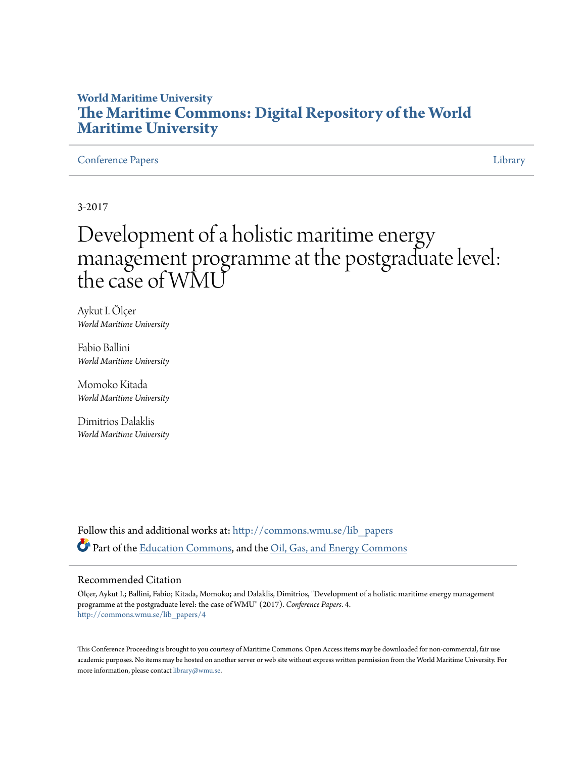# **World Maritime University [The Maritime Commons: Digital Repository of the World](http://commons.wmu.se?utm_source=commons.wmu.se%2Flib_papers%2F4&utm_medium=PDF&utm_campaign=PDFCoverPages) [Maritime University](http://commons.wmu.se?utm_source=commons.wmu.se%2Flib_papers%2F4&utm_medium=PDF&utm_campaign=PDFCoverPages)**

#### [Conference Papers](http://commons.wmu.se/lib_papers?utm_source=commons.wmu.se%2Flib_papers%2F4&utm_medium=PDF&utm_campaign=PDFCoverPages) [Library](http://commons.wmu.se/library?utm_source=commons.wmu.se%2Flib_papers%2F4&utm_medium=PDF&utm_campaign=PDFCoverPages) Library Library Library Library Library Library Library Library Library Library Library

3-2017

# Development of a holistic maritime energy management programme at the postgraduate level: the case of WMU

Aykut I. Ölçer *World Maritime University*

Fabio Ballini *World Maritime University*

Momoko Kitada *World Maritime University*

Dimitrios Dalaklis *World Maritime University*

Follow this and additional works at: [http://commons.wmu.se/lib\\_papers](http://commons.wmu.se/lib_papers?utm_source=commons.wmu.se%2Flib_papers%2F4&utm_medium=PDF&utm_campaign=PDFCoverPages) Part of the [Education Commons](http://network.bepress.com/hgg/discipline/784?utm_source=commons.wmu.se%2Flib_papers%2F4&utm_medium=PDF&utm_campaign=PDFCoverPages), and the [Oil, Gas, and Energy Commons](http://network.bepress.com/hgg/discipline/171?utm_source=commons.wmu.se%2Flib_papers%2F4&utm_medium=PDF&utm_campaign=PDFCoverPages)

#### Recommended Citation

Ölçer, Aykut I.; Ballini, Fabio; Kitada, Momoko; and Dalaklis, Dimitrios, "Development of a holistic maritime energy management programme at the postgraduate level: the case of WMU" (2017). *Conference Papers*. 4. [http://commons.wmu.se/lib\\_papers/4](http://commons.wmu.se/lib_papers/4?utm_source=commons.wmu.se%2Flib_papers%2F4&utm_medium=PDF&utm_campaign=PDFCoverPages)

This Conference Proceeding is brought to you courtesy of Maritime Commons. Open Access items may be downloaded for non-commercial, fair use academic purposes. No items may be hosted on another server or web site without express written permission from the World Maritime University. For more information, please contact [library@wmu.se](mailto:library@wmu.edu).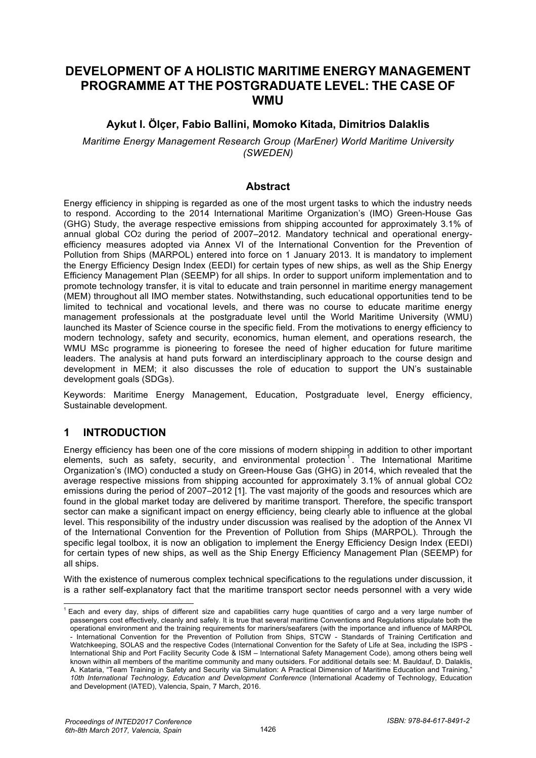# **DEVELOPMENT OF A HOLISTIC MARITIME ENERGY MANAGEMENT PROGRAMME AT THE POSTGRADUATE LEVEL: THE CASE OF WMU**

# **Aykut I. Ölçer, Fabio Ballini, Momoko Kitada, Dimitrios Dalaklis**

*Maritime Energy Management Research Group (MarEner) World Maritime University (SWEDEN)* 

### **Abstract**

Energy efficiency in shipping is regarded as one of the most urgent tasks to which the industry needs to respond. According to the 2014 International Maritime Organization's (IMO) Green-House Gas (GHG) Study, the average respective emissions from shipping accounted for approximately 3.1% of annual global CO2 during the period of 2007–2012. Mandatory technical and operational energyefficiency measures adopted via Annex VI of the International Convention for the Prevention of Pollution from Ships (MARPOL) entered into force on 1 January 2013. It is mandatory to implement the Energy Efficiency Design Index (EEDI) for certain types of new ships, as well as the Ship Energy Efficiency Management Plan (SEEMP) for all ships. In order to support uniform implementation and to promote technology transfer, it is vital to educate and train personnel in maritime energy management (MEM) throughout all IMO member states. Notwithstanding, such educational opportunities tend to be limited to technical and vocational levels, and there was no course to educate maritime energy management professionals at the postgraduate level until the World Maritime University (WMU) launched its Master of Science course in the specific field. From the motivations to energy efficiency to modern technology, safety and security, economics, human element, and operations research, the WMU MSc programme is pioneering to foresee the need of higher education for future maritime leaders. The analysis at hand puts forward an interdisciplinary approach to the course design and development in MEM; it also discusses the role of education to support the UN's sustainable development goals (SDGs).

Keywords: Maritime Energy Management, Education, Postgraduate level, Energy efficiency, Sustainable development.

# **1 INTRODUCTION**

l

Energy efficiency has been one of the core missions of modern shipping in addition to other important elements, such as safety, security, and environmental protection<sup>1</sup>. The International Maritime Organization's (IMO) conducted a study on Green-House Gas (GHG) in 2014, which revealed that the average respective missions from shipping accounted for approximately 3.1% of annual global CO2 emissions during the period of 2007–2012 [1]. The vast majority of the goods and resources which are found in the global market today are delivered by maritime transport. Therefore, the specific transport sector can make a significant impact on energy efficiency, being clearly able to influence at the global level. This responsibility of the industry under discussion was realised by the adoption of the Annex VI of the International Convention for the Prevention of Pollution from Ships (MARPOL). Through the specific legal toolbox, it is now an obligation to implement the Energy Efficiency Design Index (EEDI) for certain types of new ships, as well as the Ship Energy Efficiency Management Plan (SEEMP) for all ships.

With the existence of numerous complex technical specifications to the regulations under discussion, it is a rather self-explanatory fact that the maritime transport sector needs personnel with a very wide

 $1$  Each and every day, ships of different size and capabilities carry huge quantities of cargo and a very large number of passengers cost effectively, cleanly and safely. It is true that several maritime Conventions and Regulations stipulate both the operational environment and the training requirements for mariners/seafarers (with the importance and influence of MARPOL - International Convention for the Prevention of Pollution from Ships, STCW - Standards of Training Certification and Watchkeeping, SOLAS and the respective Codes (International Convention for the Safety of Life at Sea, including the ISPS - International Ship and Port Facility Security Code & ISM – International Safety Management Code), among others being well known within all members of the maritime community and many outsiders. For additional details see: M. Bauldauf, D. Dalaklis, A. Kataria, "Team Training in Safety and Security via Simulation: A Practical Dimension of Maritime Education and Training," *10th International Technology, Education and Development Conference* (International Academy of Technology, Education and Development (IATED), Valencia, Spain, 7 March, 2016.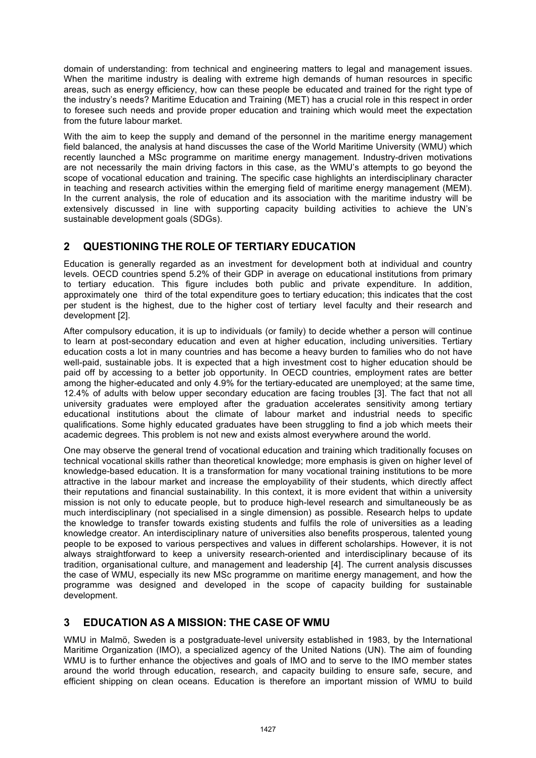domain of understanding: from technical and engineering matters to legal and management issues. When the maritime industry is dealing with extreme high demands of human resources in specific areas, such as energy efficiency, how can these people be educated and trained for the right type of the industry's needs? Maritime Education and Training (MET) has a crucial role in this respect in order to foresee such needs and provide proper education and training which would meet the expectation from the future labour market.

With the aim to keep the supply and demand of the personnel in the maritime energy management field balanced, the analysis at hand discusses the case of the World Maritime University (WMU) which recently launched a MSc programme on maritime energy management. Industry-driven motivations are not necessarily the main driving factors in this case, as the WMU's attempts to go beyond the scope of vocational education and training. The specific case highlights an interdisciplinary character in teaching and research activities within the emerging field of maritime energy management (MEM). In the current analysis, the role of education and its association with the maritime industry will be extensively discussed in line with supporting capacity building activities to achieve the UN's sustainable development goals (SDGs).

# **2 QUESTIONING THE ROLE OF TERTIARY EDUCATION**

Education is generally regarded as an investment for development both at individual and country levels. OECD countries spend 5.2% of their GDP in average on educational institutions from primary to tertiary education. This figure includes both public and private expenditure. In addition, approximately one third of the total expenditure goes to tertiary education; this indicates that the cost per student is the highest, due to the higher cost of tertiary level faculty and their research and development [2].

After compulsory education, it is up to individuals (or family) to decide whether a person will continue to learn at post-secondary education and even at higher education, including universities. Tertiary education costs a lot in many countries and has become a heavy burden to families who do not have well-paid, sustainable jobs. It is expected that a high investment cost to higher education should be paid off by accessing to a better job opportunity. In OECD countries, employment rates are better among the higher-educated and only 4.9% for the tertiary-educated are unemployed; at the same time, 12.4% of adults with below upper secondary education are facing troubles [3]. The fact that not all university graduates were employed after the graduation accelerates sensitivity among tertiary educational institutions about the climate of labour market and industrial needs to specific qualifications. Some highly educated graduates have been struggling to find a job which meets their academic degrees. This problem is not new and exists almost everywhere around the world.

One may observe the general trend of vocational education and training which traditionally focuses on technical vocational skills rather than theoretical knowledge; more emphasis is given on higher level of knowledge-based education. It is a transformation for many vocational training institutions to be more attractive in the labour market and increase the employability of their students, which directly affect their reputations and financial sustainability. In this context, it is more evident that within a university mission is not only to educate people, but to produce high-level research and simultaneously be as much interdisciplinary (not specialised in a single dimension) as possible. Research helps to update the knowledge to transfer towards existing students and fulfils the role of universities as a leading knowledge creator. An interdisciplinary nature of universities also benefits prosperous, talented young people to be exposed to various perspectives and values in different scholarships. However, it is not always straightforward to keep a university research-oriented and interdisciplinary because of its tradition, organisational culture, and management and leadership [4]. The current analysis discusses the case of WMU, especially its new MSc programme on maritime energy management, and how the programme was designed and developed in the scope of capacity building for sustainable development.

# **3 EDUCATION AS A MISSION: THE CASE OF WMU**

WMU in Malmö, Sweden is a postgraduate-level university established in 1983, by the International Maritime Organization (IMO), a specialized agency of the United Nations (UN). The aim of founding WMU is to further enhance the objectives and goals of IMO and to serve to the IMO member states around the world through education, research, and capacity building to ensure safe, secure, and efficient shipping on clean oceans. Education is therefore an important mission of WMU to build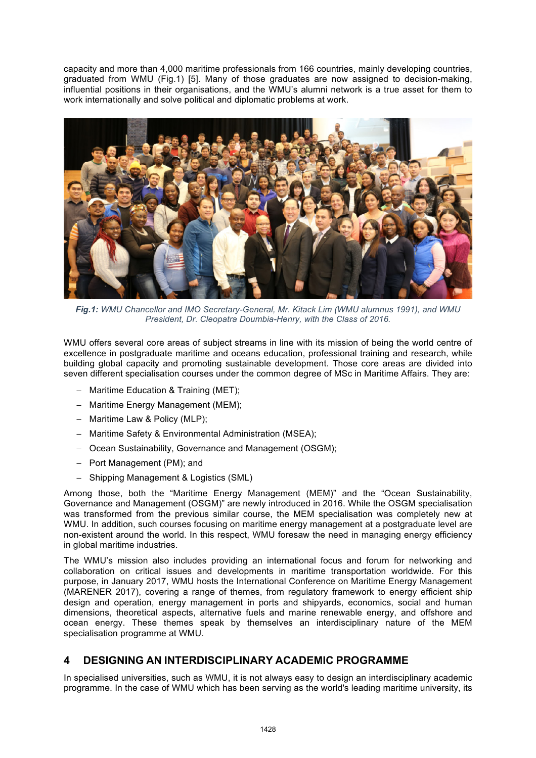capacity and more than 4,000 maritime professionals from 166 countries, mainly developing countries, graduated from WMU (Fig.1) [5]. Many of those graduates are now assigned to decision-making, influential positions in their organisations, and the WMU's alumni network is a true asset for them to work internationally and solve political and diplomatic problems at work.



*Fig.1: WMU Chancellor and IMO Secretary-General, Mr. Kitack Lim (WMU alumnus 1991), and WMU President, Dr. Cleopatra Doumbia-Henry, with the Class of 2016.*

WMU offers several core areas of subject streams in line with its mission of being the world centre of excellence in postgraduate maritime and oceans education, professional training and research, while building global capacity and promoting sustainable development. Those core areas are divided into seven different specialisation courses under the common degree of MSc in Maritime Affairs. They are:

- − Maritime Education & Training (MET);
- − Maritime Energy Management (MEM);
- − Maritime Law & Policy (MLP);
- − Maritime Safety & Environmental Administration (MSEA);
- − Ocean Sustainability, Governance and Management (OSGM);
- − Port Management (PM); and
- − Shipping Management & Logistics (SML)

Among those, both the "Maritime Energy Management (MEM)" and the "Ocean Sustainability, Governance and Management (OSGM)" are newly introduced in 2016. While the OSGM specialisation was transformed from the previous similar course, the MEM specialisation was completely new at WMU. In addition, such courses focusing on maritime energy management at a postgraduate level are non-existent around the world. In this respect, WMU foresaw the need in managing energy efficiency in global maritime industries.

The WMU's mission also includes providing an international focus and forum for networking and collaboration on critical issues and developments in maritime transportation worldwide. For this purpose, in January 2017, WMU hosts the International Conference on Maritime Energy Management (MARENER 2017), covering a range of themes, from regulatory framework to energy efficient ship design and operation, energy management in ports and shipyards, economics, social and human dimensions, theoretical aspects, alternative fuels and marine renewable energy, and offshore and ocean energy. These themes speak by themselves an interdisciplinary nature of the MEM specialisation programme at WMU.

### **4 DESIGNING AN INTERDISCIPLINARY ACADEMIC PROGRAMME**

In specialised universities, such as WMU, it is not always easy to design an interdisciplinary academic programme. In the case of WMU which has been serving as the world's leading maritime university, its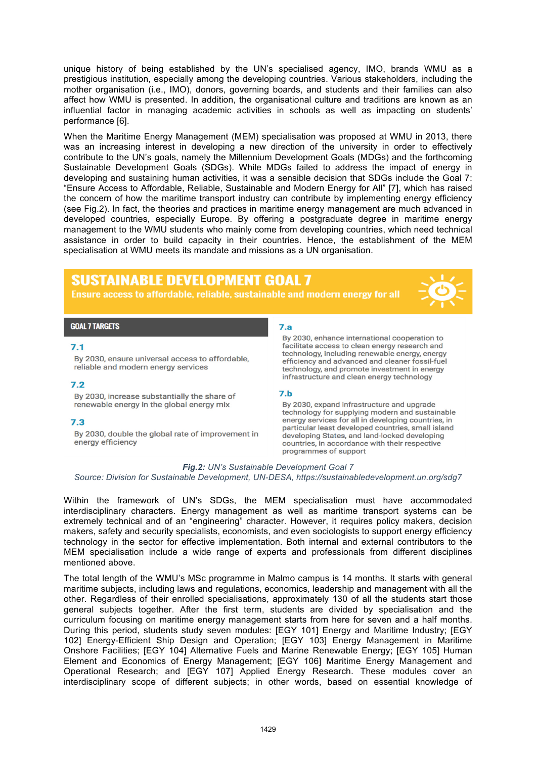unique history of being established by the UN's specialised agency, IMO, brands WMU as a prestigious institution, especially among the developing countries. Various stakeholders, including the mother organisation (i.e., IMO), donors, governing boards, and students and their families can also affect how WMU is presented. In addition, the organisational culture and traditions are known as an influential factor in managing academic activities in schools as well as impacting on students' performance [6].

When the Maritime Energy Management (MEM) specialisation was proposed at WMU in 2013, there was an increasing interest in developing a new direction of the university in order to effectively contribute to the UN's goals, namely the Millennium Development Goals (MDGs) and the forthcoming Sustainable Development Goals (SDGs). While MDGs failed to address the impact of energy in developing and sustaining human activities, it was a sensible decision that SDGs include the Goal 7: "Ensure Access to Affordable, Reliable, Sustainable and Modern Energy for All" [7], which has raised the concern of how the maritime transport industry can contribute by implementing energy efficiency (see Fig.2). In fact, the theories and practices in maritime energy management are much advanced in developed countries, especially Europe. By offering a postgraduate degree in maritime energy management to the WMU students who mainly come from developing countries, which need technical assistance in order to build capacity in their countries. Hence, the establishment of the MEM specialisation at WMU meets its mandate and missions as a UN organisation.

# **SUSTAINABLE DEVELOPMENT GOAL 7**

Ensure access to affordable, reliable, sustainable and modern energy for all



#### **GOAL 7 TARGETS**

#### $7.1$

By 2030, ensure universal access to affordable, reliable and modern energy services

#### $7.2$

By 2030, increase substantially the share of renewable energy in the global energy mix

#### $7.3$

By 2030, double the global rate of improvement in energy efficiency

#### $7.a$

By 2030, enhance international cooperation to facilitate access to clean energy research and technology, including renewable energy, energy efficiency and advanced and cleaner fossil-fuel technology, and promote investment in energy infrastructure and clean energy technology

### $7.b$

By 2030, expand infrastructure and upgrade technology for supplying modern and sustainable energy services for all in developing countries, in particular least developed countries, small island developing States, and land-locked developing countries, in accordance with their respective programmes of support

# *Fig.2: UN's Sustainable Development Goal 7*

*Source: Division for Sustainable Development, UN-DESA, https://sustainabledevelopment.un.org/sdg7*

Within the framework of UN's SDGs, the MEM specialisation must have accommodated interdisciplinary characters. Energy management as well as maritime transport systems can be extremely technical and of an "engineering" character. However, it requires policy makers, decision makers, safety and security specialists, economists, and even sociologists to support energy efficiency technology in the sector for effective implementation. Both internal and external contributors to the MEM specialisation include a wide range of experts and professionals from different disciplines mentioned above.

The total length of the WMU's MSc programme in Malmo campus is 14 months. It starts with general maritime subjects, including laws and regulations, economics, leadership and management with all the other. Regardless of their enrolled specialisations, approximately 130 of all the students start those general subjects together. After the first term, students are divided by specialisation and the curriculum focusing on maritime energy management starts from here for seven and a half months. During this period, students study seven modules: [EGY 101] Energy and Maritime Industry; [EGY 102] Energy-Efficient Ship Design and Operation; [EGY 103] Energy Management in Maritime Onshore Facilities; [EGY 104] Alternative Fuels and Marine Renewable Energy; [EGY 105] Human Element and Economics of Energy Management; [EGY 106] Maritime Energy Management and Operational Research; and [EGY 107] Applied Energy Research. These modules cover an interdisciplinary scope of different subjects; in other words, based on essential knowledge of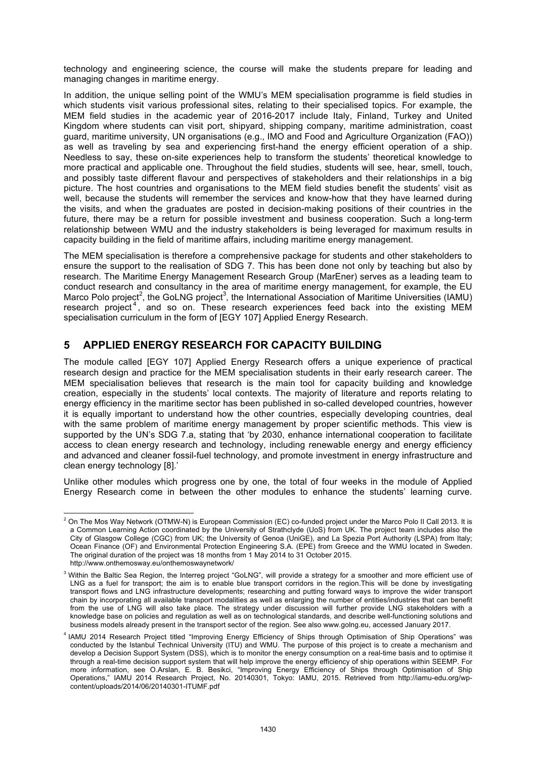technology and engineering science, the course will make the students prepare for leading and managing changes in maritime energy.

In addition, the unique selling point of the WMU's MEM specialisation programme is field studies in which students visit various professional sites, relating to their specialised topics. For example, the MEM field studies in the academic year of 2016-2017 include Italy, Finland, Turkey and United Kingdom where students can visit port, shipyard, shipping company, maritime administration, coast guard, maritime university, UN organisations (e.g., IMO and Food and Agriculture Organization (FAO)) as well as traveling by sea and experiencing first-hand the energy efficient operation of a ship. Needless to say, these on-site experiences help to transform the students' theoretical knowledge to more practical and applicable one. Throughout the field studies, students will see, hear, smell, touch, and possibly taste different flavour and perspectives of stakeholders and their relationships in a big picture. The host countries and organisations to the MEM field studies benefit the students' visit as well, because the students will remember the services and know-how that they have learned during the visits, and when the graduates are posted in decision-making positions of their countries in the future, there may be a return for possible investment and business cooperation. Such a long-term relationship between WMU and the industry stakeholders is being leveraged for maximum results in capacity building in the field of maritime affairs, including maritime energy management.

The MEM specialisation is therefore a comprehensive package for students and other stakeholders to ensure the support to the realisation of SDG 7. This has been done not only by teaching but also by research. The Maritime Energy Management Research Group (MarEner) serves as a leading team to conduct research and consultancy in the area of maritime energy management, for example, the EU Marco Polo project<sup>2</sup>, the GoLNG project<sup>3</sup>, the International Association of Maritime Universities (IAMU) research project<sup>4</sup>, and so on. These research experiences feed back into the existing MEM specialisation curriculum in the form of [EGY 107] Applied Energy Research.

# **5 APPLIED ENERGY RESEARCH FOR CAPACITY BUILDING**

The module called [EGY 107] Applied Energy Research offers a unique experience of practical research design and practice for the MEM specialisation students in their early research career. The MEM specialisation believes that research is the main tool for capacity building and knowledge creation, especially in the students' local contexts. The majority of literature and reports relating to energy efficiency in the maritime sector has been published in so-called developed countries, however it is equally important to understand how the other countries, especially developing countries, deal with the same problem of maritime energy management by proper scientific methods. This view is supported by the UN's SDG 7.a, stating that 'by 2030, enhance international cooperation to facilitate access to clean energy research and technology, including renewable energy and energy efficiency and advanced and cleaner fossil-fuel technology, and promote investment in energy infrastructure and clean energy technology [8].'

Unlike other modules which progress one by one, the total of four weeks in the module of Applied Energy Research come in between the other modules to enhance the students' learning curve.

l  $^2$  On The Mos Way Network (OTMW-N) is European Commission (EC) co-funded project under the Marco Polo II Call 2013. It is a Common Learning Action coordinated by the University of Strathclyde (UoS) from UK. The project team includes also the City of Glasgow College (CGC) from UK; the University of Genoa (UniGE), and La Spezia Port Authority (LSPA) from Italy; Ocean Finance (OF) and Environmental Protection Engineering S.A. (EPE) from Greece and the WMU located in Sweden. The original duration of the project was 18 months from 1 May 2014 to 31 October 2015. http://www.onthemosway.eu/onthemoswaynetwork/

<sup>&</sup>lt;sup>3</sup> Within the Baltic Sea Region, the Interreg project "GoLNG", will provide a strategy for a smoother and more efficient use of LNG as a fuel for transport; the aim is to enable blue transport corridors in the region.This will be done by investigating transport flows and LNG infrastructure developments; researching and putting forward ways to improve the wider transport chain by incorporating all available transport modalities as well as enlarging the number of entities/industries that can benefit from the use of LNG will also take place. The strategy under discussion will further provide LNG stakeholders with a knowledge base on policies and regulation as well as on technological standards, and describe well-functioning solutions and business models already present in the transport sector of the region. See also www.golng.eu, accessed January 2017.

<sup>4</sup> IAMU 2014 Research Project titled "Improving Energy Efficiency of Ships through Optimisation of Ship Operations" was conducted by the Istanbul Technical University (ITU) and WMU. The purpose of this project is to create a mechanism and develop a Decision Support System (DSS), which is to monitor the energy consumption on a real-time basis and to optimise it through a real-time decision support system that will help improve the energy efficiency of ship operations within SEEMP. For more information, see O.Arslan, E. B. Besikci, "Improving Energy Efficiency of Ships through Optimisation of Ship Operations," IAMU 2014 Research Project, No. 20140301, Tokyo: IAMU, 2015. Retrieved from http://iamu-edu.org/wpcontent/uploads/2014/06/20140301-ITUMF.pdf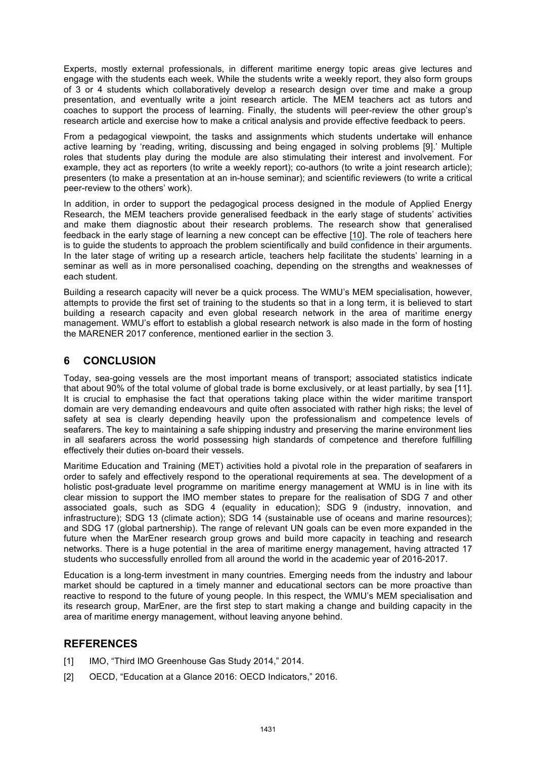Experts, mostly external professionals, in different maritime energy topic areas give lectures and engage with the students each week. While the students write a weekly report, they also form groups of 3 or 4 students which collaboratively develop a research design over time and make a group presentation, and eventually write a joint research article. The MEM teachers act as tutors and coaches to support the process of learning. Finally, the students will peer-review the other group's research article and exercise how to make a critical analysis and provide effective feedback to peers.

From a pedagogical viewpoint, the tasks and assignments which students undertake will enhance active learning by 'reading, writing, discussing and being engaged in solving problems [9].' Multiple roles that students play during the module are also stimulating their interest and involvement. For example, they act as reporters (to write a weekly report); co-authors (to write a joint research article); presenters (to make a presentation at an in-house seminar); and scientific reviewers (to write a critical peer-review to the others' work).

In addition, in order to support the pedagogical process designed in the module of Applied Energy Research, the MEM teachers provide generalised feedback in the early stage of students' activities and make them diagnostic about their research problems. The research show that generalised feedback in the early stage of learning a new concept can be effective [\[10\]](https://www.researchgate.net/publication/225160344_Evaluating_and_improving_adaptive_educational_systems_with_learning_curves?el=1_x_8&enrichId=rgreq-0197bb5ad2df6e267ff96428ee7bc4c7-XXX&enrichSource=Y292ZXJQYWdlOzMxNTM1MjUyNztBUzo0NzM4OTA2MTE4MzA3ODRAMTQ4OTk5NTczNDIyMw==). The role of teachers here is to guide the students to approach the problem scientifically and build confidence in their arguments. In the later stage of writing up a research article, teachers help facilitate the students' learning in a seminar as well as in more personalised coaching, depending on the strengths and weaknesses of each student.

Building a research capacity will never be a quick process. The WMU's MEM specialisation, however, attempts to provide the first set of training to the students so that in a long term, it is believed to start building a research capacity and even global research network in the area of maritime energy management. WMU's effort to establish a global research network is also made in the form of hosting the MARENER 2017 conference, mentioned earlier in the section 3.

# **6 CONCLUSION**

Today, sea-going vessels are the most important means of transport; associated statistics indicate that about 90% of the total volume of global trade is borne exclusively, or at least partially, by sea [11]. It is crucial to emphasise the fact that operations taking place within the wider maritime transport domain are very demanding endeavours and quite often associated with rather high risks; the level of safety at sea is clearly depending heavily upon the professionalism and competence levels of seafarers. The key to maintaining a safe shipping industry and preserving the marine environment lies in all seafarers across the world possessing high standards of competence and therefore fulfilling effectively their duties on-board their vessels.

Maritime Education and Training (MET) activities hold a pivotal role in the preparation of seafarers in order to safely and effectively respond to the operational requirements at sea. The development of a holistic post-graduate level programme on maritime energy management at WMU is in line with its clear mission to support the IMO member states to prepare for the realisation of SDG 7 and other associated goals, such as SDG 4 (equality in education); SDG 9 (industry, innovation, and infrastructure); SDG 13 (climate action); SDG 14 (sustainable use of oceans and marine resources); and SDG 17 (global partnership). The range of relevant UN goals can be even more expanded in the future when the MarEner research group grows and build more capacity in teaching and research networks. There is a huge potential in the area of maritime energy management, having attracted 17 students who successfully enrolled from all around the world in the academic year of 2016-2017.

Education is a long-term investment in many countries. Emerging needs from the industry and labour market should be captured in a timely manner and educational sectors can be more proactive than reactive to respond to the future of young people. In this respect, the WMU's MEM specialisation and its research group, MarEner, are the first step to start making a change and building capacity in the area of maritime energy management, without leaving anyone behind.

# **REFERENCES**

- [1] IMO, "Third IMO Greenhouse Gas Study 2014," 2014.
- [2] OECD, "Education at a Glance 2016: OECD Indicators," 2016.